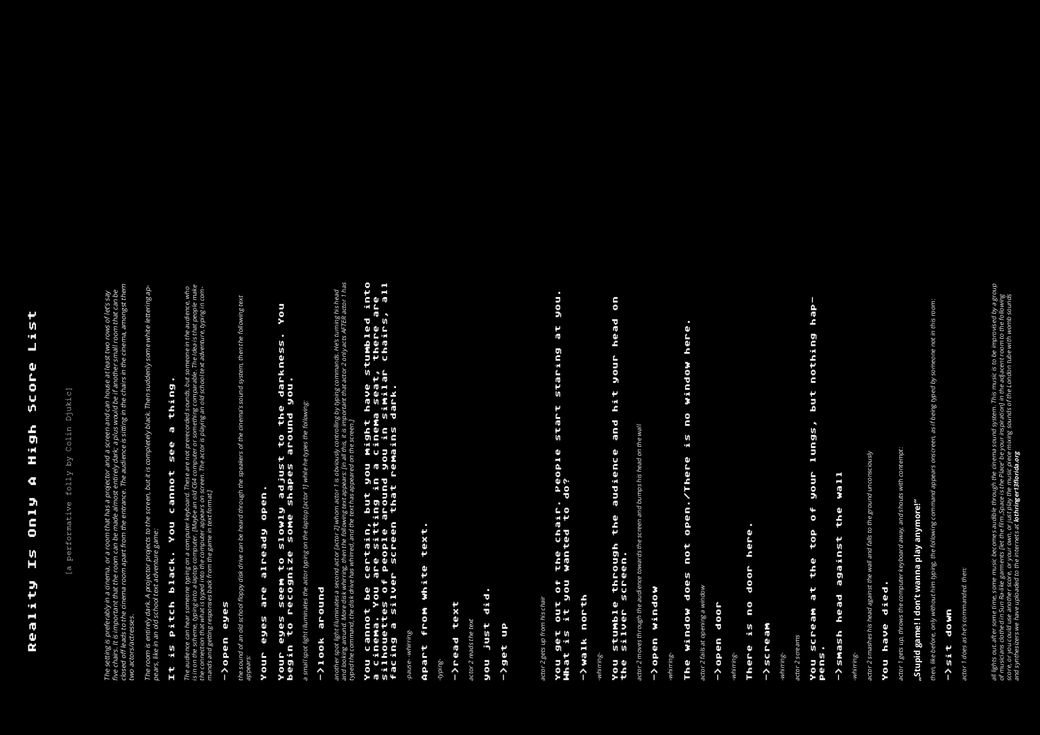# Reality Is Only A High Score List List Score High  $\mathbf{a}$ Only  $15$ Reality

Djukic] [a performative folly by Colin Djukic] Colin  $\bar{\Lambda}Q$ folly rformative [a p The setting is preferably in a cinema, or a room that has a projector and a screen and can house at least two rows of let's say<br>five chairs. It is important that the room can be made almost entirely dark; a plus would be i closed of leads to the cinema room apart from the entrance. The audience is sitting in the chairs in the cinema, amongst them fve chairs. It is important that the room can be made almost entirely dark; a plus would be if another small room that can be The setting is preferably in a cinema, or a room that has a projector and a screen and can house at least two rows of let's say two actors/actresses, two actors/actresses.

The room is entirely dark. A projector projects to the screen, but it is completely black. Then suddenly some white lettering ap-The room is entirely dark. A projector projects to the screen, but it is completely black. Then suddenly some white lettering ap-<br>pears, like in an old school text adventure game: The room is entirely dark. A projector projects to the screen, but it is completely black. Then suddenly some white lettering appears, like in an old school text adventure game: two actors in an old s

# Your eyes seem to slowly adjust to the darkness. You **Aon** adjust to the darkness.<br>shapes around you. begin to recognize some shapes around you. Your eyes are already open. s anos a<br>Alburs Your eyes seem to<br>begin to recogniz

a small spot light illuminates the actor typing on the laptop factor 11 while he types the following: a small spot light illuminates the actor typing on the laptop [actor 1] while he types the following: g on the laptop [actor 1] while he types the following: nates the actor typii a small spot light illur

#### around ->look around ->100K

r [actor 2] whom actor 1 is obviously controlling by typing commands. He's turning his head<br>n the following text appears: [in all this, it is important that actor 2 only acts AFTER actor 1 has<br>red, and the text has appeare and looking around. More disk whirring, then the following text appears: [in all this, it is important that actor 2 only acts AFTER actor 1 has another spot light illuminates a second actor [actor 2] whom actor 1 is obviously controlling by typing commands. He's turning his head typed the command, the disk drive has whirred, and the text has appeared on the screen.] another spot light illuminates a second actc<br>and looking around. More disk whirring, the<br>typed the command, the disk drive has whii and looking around. More disk v

#### You cannot be certain, but you might have stumbled into silhouettes of people around you in similar chairs, all You cannot be certain, but you might have stumbled into linto<br>are<br>S, all You cannot be certain, but you might have stumbled into a cinema. You are sitting in a cinema seat, there are a cinema. You are sitting in a cinema seat, there are tain, but you might have stumbled<br>sitting in a cinema seat, there a<br>ople around you in similar chairs,<br>creen that remains dark. facing a silver screen that remains dark. typed the command, the disk drive has whirred, and the text has appeared on the screen.] You cannot be cer<br>a cinema. You are<br>silhouettes of pee<br>facing a silver se

-pause- -whirring--pause- -whirring-<br>pause- -whirring-

## text. Apart from white text. white Apart from

## text ->read text

actor 2 reads the text reads the

#### $\mathcal{L}_{\mathcal{A}}$ you just did. did **Just** non

You get out of the chair. People start staring at you. you. at staring start the chair. People<br>wanted to do? What is it you wanted to do? You get out of<br>What is it you

#### north ->walk north ->walk

# You stumble through the audience and hit your head on  $\mathbf{5}$ hit your head and audience the stumble through<br>silver screen. the silver screen. You<br>the

the screen and bumps his head on the wall actor 2 moves through the audience towards the screen and bumps his head on the wall actor 2 moves through the audience towa

the sound of an old school foppy disk drive can be heard through the speakers of the cinema's sound system, then the following text speakers of the cinema's sound system, then the following text d through the can be he. ov disk dri appears: the sound of an old scho<br>appears: appears:

# ->open window ->open window

actor 2 fails at opening a window actor 2 fails at opening a window

## ->open door ->open door

-whiri

#### vere. There is no door here. door en  $\frac{5}{2}$ There

#### ->scream EaoLun/I

-whirr

actor 2 screams actor 2 screams

#### .<br>A6d You scream at the top of your lungs, but nothing hap but nothing lungs, **AnonL**  $\bullet$ f top the You scream at<br>Pens. pens.

## **TIEM** ->smash head against the wall the **JSt** ->smash head agai

actor 1 gets up, throws the computer keyboard away, and shouts with contempt: rd away, and shouts with contempt: actor 1 gets up, throws the computer keybo

# **"Stupid game! I don't wanna play anymore!"**  ay anymore!" "Stupid game! I don't wanna pl

e following command appears onscreen, as if being typed by someone not in this room: then, like before, only without him typing, the following command appears onscreen, as if being typed by someone not in this room: then, like before, only without him typing, ti

#### ->sit down ->sit down

anded. then: actor 1 does as he's commanded. then: actor 1 does as he's comm ecomes audible through the cinema sound system. This music is to be improvised by a group<br>s [let the film ,Space is the Place' be your inspiration] in the adjacent room to the following<br>ur own, or just play the music piece all lights out. after some time, some music becomes audible through the cinema sound system. This music is to be improvised by a group of musicians clothed in Sun Ra-like garments [let the film ,Space is the Place' be your inspiration] in the adjacent room to the following score, or you could use another score, or your own, or just play the music piece mixing sounds of the /ondon tube with womb sounds and synthesizers we have uploaded to the internets at **lothringer13florida.org** all lights out. after some time, some music b<br>of musicians clothed in Sun Ra-like garment.<br>score, or you could use another score, or yo<br>and synthesizers we have uploaded to the ir

# The room is entirely dark. A projector projects to the screen, but it is completely black. Then suddenly some white lettering ap-It is pitch black. You cannot see a thing. thing  $\overline{\mathfrak{g}}$ see cannot Vou is pitch black  $\mathbf{H}$

a computer keyboard. These are not prerecorded sounds, but someone in the audience, who<br>mputer. [Maybe an old C64 computer or something comparable. The Idea is that people make<br>egane in text format.]<br>egane in text format.] is in on the scheme, typing into a laptop computer. [Maybe an old C64 computer or something comparable. The Idea is that people make The audience can hear someone typing on a computer keyboard. These are not prerecorded sounds, but someone in the audience, who mands and getting responses back from the game in text format. The audience sounds, but sounds, and the connection that what is typed into the computer appears on screen. The actor is playing an old school text adventure, typing in comis in on the scheme, typing into a laptop computer. [Maybe an old C64 computer or something comparal mands and getting responses back from the game in text format.] The audience can hear someone typing on a<br>is in on the scheme, typing into a laptop com<br>the connection that what is typed into the cc<br>mands and getting responses back from the

-typing-

-whirring-

# the sound of an old school foppy disk drive can be heard through the speakers of the cinema's sound system, then the following text Your eyes are already open. open. eady alr are Your eyes

-whirring-

### here. The window does not open./There is no window here. Mindow D.O  $\frac{1}{2}$ open./There 뉀 Ĕ The window does

-whirring-

id falls to the ground unconsciously actor 2 smashes his head against the wall and falls to the ground unconsciously actor 2 smashes his head against the wall al

#### died. You have died. You have

# the connection that what is typed into the computer appears on screen. The actor is playing an old school text adventure, typing in com-->open eyes ->open eyes

actor 2 gets up from his chair actor 2 gets up from his chair

#### you just did. ->get up ->get up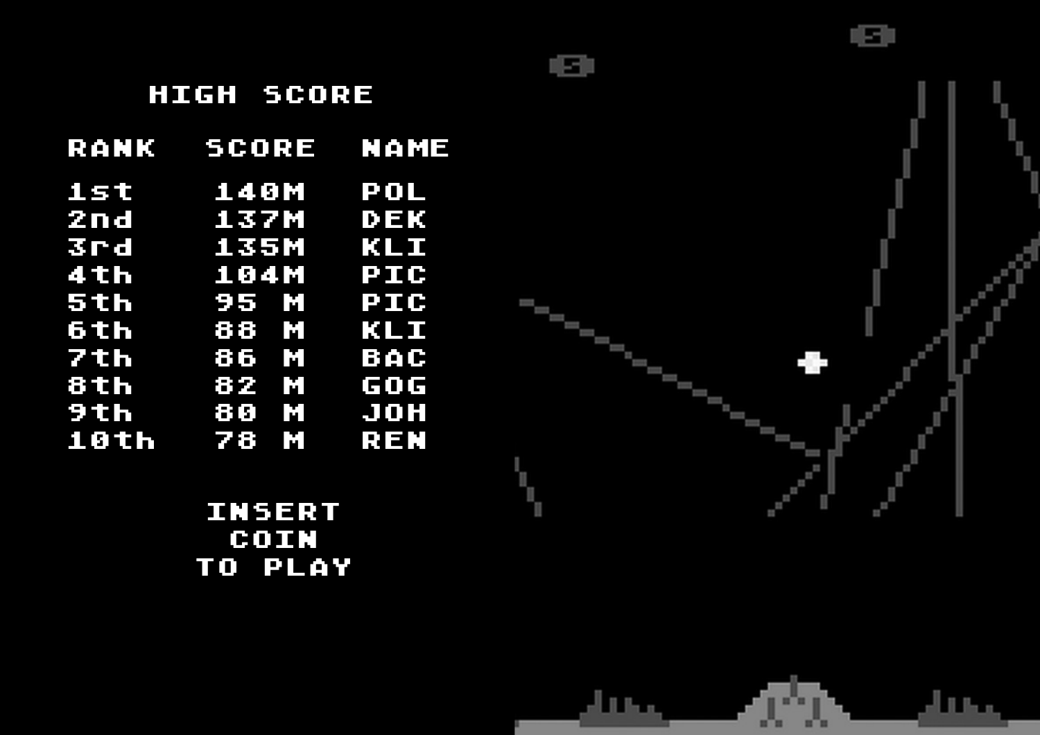| RANK | seore          | MAME          |
|------|----------------|---------------|
| 1st  | 140M           | TPOL          |
| 2nd  | 137M           | <b>DEK</b>    |
| 3rd  | 1351           | KLT           |
| 4th  | 104M           | PIG           |
| 5th  | 95 M           | TP IT OF      |
| 6th  | 68 M           | <b>TALET</b>  |
| 7th  | 86 M           | <b>EME</b>    |
| 8th  | 82 M           | <b>मान</b> ान |
|      | $9th$ 80 M JOH |               |
|      | 10th 78 M REN  |               |
|      |                |               |

#### INSERT COIN TO PLAY



#### HIGH SCORE